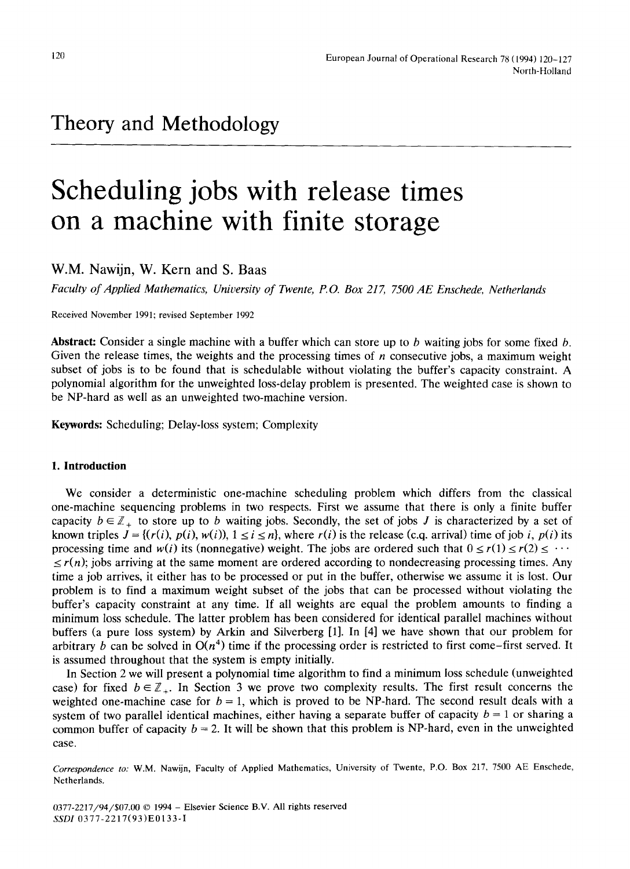# **Scheduling jobs with release times on a machine with finite storage**

**W.M. Nawijn, W. Kern and S. Baas** 

*Faculty of Applied Mathematics, University of Twente, P.O. Box 217, 7500 AE Enschede, Netherlands* 

Received November 1991; revised September 1992

**Abstract:** Consider a single machine with a buffer which can store up to b waiting jobs for some fixed b. Given the release times, the weights and the processing times of  $n$  consecutive jobs, a maximum weight subset of jobs is to be found that is schedulable without violating the buffer's capacity constraint. A polynomial algorithm for the unweighted loss-delay problem is presented. The weighted case is shown to be NP-hard as well as an unweighted two-machine version.

Keywords: Scheduling; Delay-loss system; Complexity

# **1. Introduction**

We consider a deterministic one-machine scheduling problem which differs from the classical one-machine sequencing problems in two respects. First we assume that there is only a finite buffer capacity  $b \in \mathbb{Z}_+$  to store up to b waiting jobs. Secondly, the set of jobs J is characterized by a set of known triples  $J = \{ (r(i), p(i), w(i)), 1 \le i \le n \}$ , where  $r(i)$  is the release (c.q. arrival) time of job *i*,  $p(i)$  its processing time and *w(i)* its (nonnegative) weight. The jobs are ordered such that  $0 \le r(1) \le r(2) \le \cdots$  $\leq r(n)$ ; jobs arriving at the same moment are ordered according to nondecreasing processing times. Any time a job arrives, it either has to be processed or put in the buffer, otherwise we assume it is lost. Our problem is to find a maximum weight subset of the jobs that can be processed without violating the buffer's capacity constraint at any time. If all weights are equal the problem amounts to finding a minimum loss schedule. The latter problem has been considered for identical parallel machines without buffers (a pure loss system) by Arkin and Silverberg [1]. In [4] we have shown that our problem for arbitrary b can be solved in  $O(n^4)$  time if the processing order is restricted to first come–first served. It is assumed throughout that the system is empty initially.

In Section 2 we will present a polynomial time algorithm to find a minimum loss schedule (unweighted case) for fixed  $b \in \mathbb{Z}_+$ . In Section 3 we prove two complexity results. The first result concerns the weighted one-machine case for  $b = 1$ , which is proved to be NP-hard. The second result deals with a system of two parallel identical machines, either having a separate buffer of capacity  $b = 1$  or sharing a common buffer of capacity  $b = 2$ . It will be shown that this problem is NP-hard, even in the unweighted case.

*Correspondence to."* W.M. Nawijn, Faculty of Applied Mathematics, University of Twente, P.O. Box 217, 7500 AE Enschede, Netherlands.

0377-2217/94/\$07.00 © 1994 - Elsevier Science B.V. All rights reserved *SSDI* 0377-2217(93)E01 33-I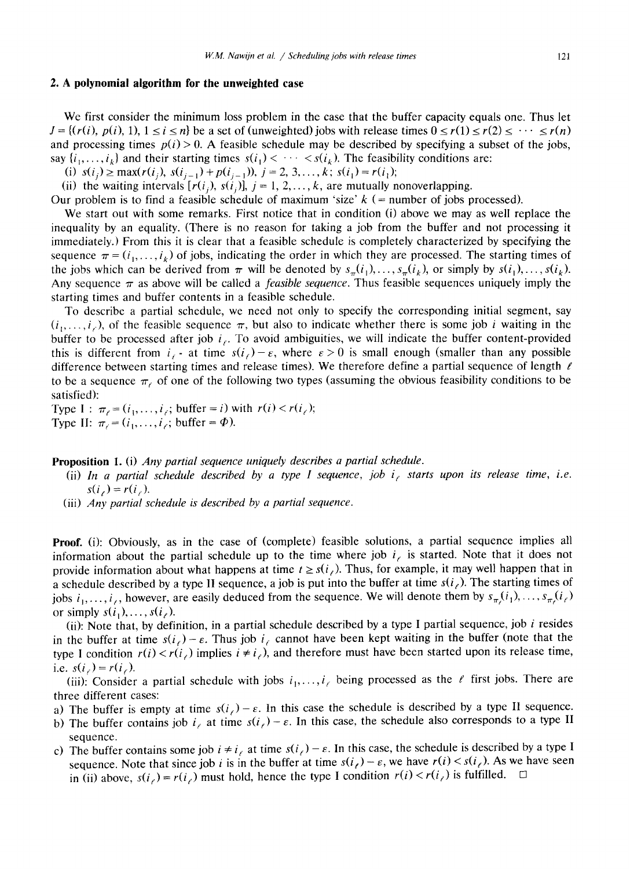# **2. A polynomial algorithm for the unweighted case**

We first consider the minimum loss problem in the case that the buffer capacity equals one. Thus let  $J = \{(r(i), p(i), 1), 1 \le i \le n\}$  be a set of (unweighted) jobs with release times  $0 \le r(1) \le r(2) \le \cdots \le r(n)$ and processing times  $p(i) > 0$ . A feasible schedule may be described by specifying a subset of the jobs, say  $\{i_1, \ldots, i_k\}$  and their starting times  $s(i_1) < \cdots < s(i_k)$ . The feasibility conditions are:

(i)  $s(i_j) \ge \max(r(i_j), s(i_{j-1}) + p(i_{j-1})), j = 2, 3, ..., k; s(i_j) = r(i_j);$ 

(ii) the waiting intervals  $[r(i_j), s(i_j)]$ ,  $j = 1, 2, ..., k$ , are mutually nonoverlapping.

Our problem is to find a feasible schedule of maximum 'size'  $k$  (= number of jobs processed).

We start out with some remarks. First notice that in condition (i) above we may as well replace the inequality by an equality. (There is no reason for taking a job from the buffer and not processing it immediately.) From this it is clear that a feasible schedule is completely characterized by specifying the sequence  $\pi = (i_1, \ldots, i_k)$  of jobs, indicating the order in which they are processed. The starting times of the jobs which can be derived from  $\pi$  will be denoted by  $s_{\pi}(i_1), \ldots, s_{\pi}(i_k)$ , or simply by  $s(i_1), \ldots, s(i_k)$ . Any sequence  $\pi$  as above will be called a *feasible sequence*. Thus feasible sequences uniquely imply the starting times and buffer contents in a feasible schedule.

To describe a partial schedule, we need not only to specify the corresponding initial segment, say  $(i_1, \ldots, i_r)$ , of the feasible sequence  $\pi$ , but also to indicate whether there is some job i waiting in the buffer to be processed after job  $i_f$ . To avoid ambiguities, we will indicate the buffer content-provided this is different from  $i_f$  - at time  $s(i_f)-\varepsilon$ , where  $\varepsilon > 0$  is small enough (smaller than any possible difference between starting times and release times). We therefore define a partial sequence of length  $\ell$ to be a sequence  $\pi_{\ell}$  of one of the following two types (assuming the obvious feasibility conditions to be satisfied):

Type  $I : \pi_{\ell} = (i_1,\ldots,i_{\ell};$  buffer = i) with  $r(i) < r(i_{\ell});$ Type II:  $\pi_i = (i_1, \ldots, i_\ell; \text{buffer} = \Phi)$ .

**Proposition** 1. (i) *Any partial sequence uniquely describes a partial schedule.* 

- (ii) In a partial schedule described by a type I sequence, job i, starts upon its release time, i.e.  $s(i_{\ell}) = r(i_{\ell}).$
- (iii) *Any partial schedule is described by a partial sequence.*

**Proof.** (i): Obviously, as in the case of (complete) feasible solutions, a partial sequence implies all information about the partial schedule up to the time where job  $i<sub>i</sub>$  is started. Note that it does not provide information about what happens at time  $t \geq s(i)$ . Thus, for example, it may well happen that in a schedule described by a type II sequence, a job is put into the buffer at time  $s(i)$ . The starting times of jobs  $i_1, \ldots, i_\ell$ , however, are easily deduced from the sequence. We will denote them by  $s_{\pi}(i_1), \ldots, s_{\pi}(i_\ell)$ or simply  $s(i_1), \ldots, s(i_\ell)$ .

**(ii):** Note that, by definition, in a partial schedule described by a type I partial sequence, job i resides in the buffer at time  $s(i_\ell) - \varepsilon$ . Thus job  $i_\ell$  cannot have been kept waiting in the buffer (note that the type I condition  $r(i) < r(i)$  implies  $i \neq i_0$ , and therefore must have been started upon its release time, i.e.  $s(i_{\ell}) = r(i_{\ell}).$ 

(iii): Consider a partial schedule with jobs  $i_1, \ldots, i_r$  being processed as the  $\ell$  first jobs. There are three different cases:

- a) The buffer is empty at time  $s(i) \varepsilon$ . In this case the schedule is described by a type II sequence.
- b) The buffer contains job  $i_{\ell}$  at time  $s(i_{\ell}) \varepsilon$ . In this case, the schedule also corresponds to a type II sequence.
- c) The buffer contains some job  $i \neq i_e$  at time  $s(i_e) \varepsilon$ . In this case, the schedule is described by a type I sequence. Note that since job i is in the buffer at time  $s(i_\ell) - \varepsilon$ , we have  $r(i) \lt s(i_\ell)$ . As we have seen in (ii) above,  $s(i_\ell) = r(i_\ell)$  must hold, hence the type I condition  $r(i) < r(i_\ell)$  is fulfilled.  $\Box$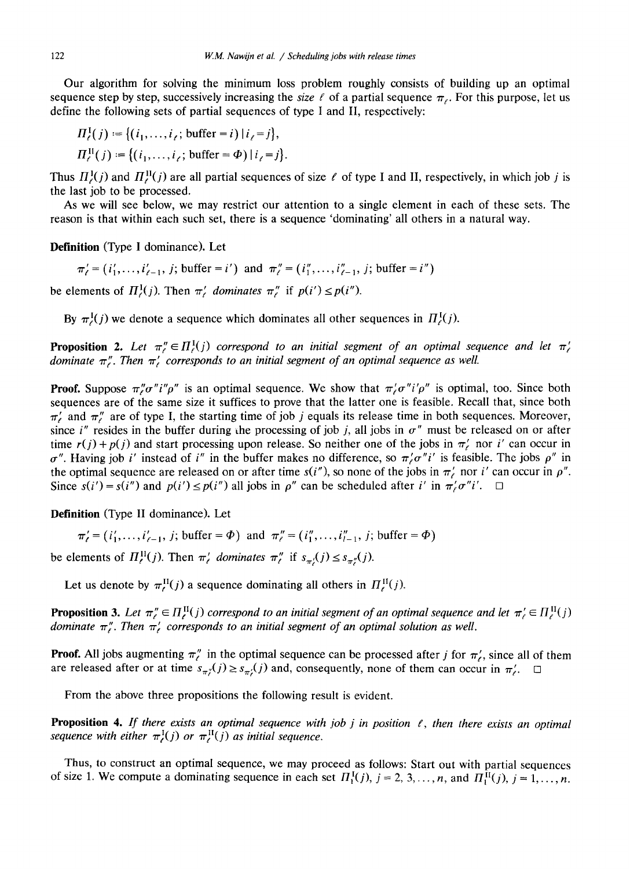Our algorithm for solving the minimum loss problem roughly consists of building up an optimal sequence step by step, successively increasing the *size*  $\ell$  of a partial sequence  $\pi_{\ell}$ . For this purpose, let us define the following sets of partial sequences of type I and II, respectively:

$$
\Pi_{\ell}^{1}(j) := \{ (i_{1}, \ldots, i_{\ell}) \text{ buffer} = i) | i_{\ell} = j \},
$$

$$
\Pi_{\ell}^{\Pi}(j) := \{ (i_1,\ldots,i_{\ell};\,\text{buffer} = \Phi) \,|\, i_{\ell} = j \}.
$$

Thus  $H^1(\mathfrak{z}(j))$  and  $H^1(\mathfrak{z}(j))$  are all partial sequences of size  $\ell$  of type I and II, respectively, in which job j is the last job to be processed.

As we will see below, we may restrict our attention to a single element in each of these sets. The reason is that within each such set, there is a sequence 'dominating' all others in a natural way.

**Definition** (Type I dominance). Let

 $\pi'_{\ell} = (i'_1, \ldots, i'_{\ell-1}, j; \text{buffer} = i')$  and  $\pi''_{\ell} = (i''_1, \ldots, i''_{\ell-1}, j; \text{buffer} = i'')$ 

be elements of  $\Pi_c^1(j)$ . Then  $\pi_c^j$  dominates  $\pi_c^m$  if  $p(i') \leq p(i'')$ .

By  $\pi^I(j)$  we denote a sequence which dominates all other sequences in  $\Pi^I(\tau)$ .

**Proposition 2.** Let  $\pi_{\ell}^{n} \in \Pi_{\ell}^{I}(j)$  correspond to an initial segment of an optimal sequence and let  $\pi_{\ell}^{I}$ *dominate*  $\pi$ <sup>*r*</sup>. Then  $\pi$ <sup>*i*</sup> corresponds to an initial segment of an optimal sequence as well.

**Proof.** Suppose  $\pi_{\ell}^n \sigma'' i'' \rho''$  is an optimal sequence. We show that  $\pi_{\ell}^r \sigma'' i' \rho''$  is optimal, too. Since both sequences are of the same size it suffices to prove that the latter one is feasible. Recall that, since both  $\pi'$  and  $\pi''$  are of type I, the starting time of job j equals its release time in both sequences. Moreover, since *i*" resides in the buffer during the processing of job *j*, all jobs in  $\sigma$ " must be released on or after time  $r(j) + p(j)$  and start processing upon release. So neither one of the jobs in  $\pi'$  nor i' can occur in  $\sigma''$ . Having job i' instead of i'' in the buffer makes no difference, so  $\pi'\sigma''i'$  is feasible. The jobs  $\rho''$  in the optimal sequence are released on or after time  $s(i'')$ , so none of the jobs in  $\pi'$ , nor i' can occur in  $\rho''$ . Since  $s(i') = s(i'')$  and  $p(i') \leq p(i'')$  all jobs in  $\rho''$  can be scheduled after i' in  $\pi/\sigma''i'$ .

**Definition** (Type II dominance). Let

 $\pi' = (i'_1, \ldots, i'_{\ell-1}, j; \text{buffer} = \Phi)$  and  $\pi'' = (i''_1, \ldots, i''_{\ell-1}, j; \text{buffer} = \Phi)$ 

be elements of  $\Pi_{\ell}^{\text{II}}(j)$ . Then  $\pi_{\ell}^{\prime}$  dominates  $\pi_{\ell}^{\prime\prime}$  if  $s_{\pi_{\ell}^{\prime}}(j) \leq s_{\pi_{\ell}^{\prime\prime}}(j)$ .

Let us denote by  $\pi_{\epsilon}^{\text{II}}(j)$  a sequence dominating all others in  $\Pi_{\epsilon}^{\text{II}}(j)$ .

**Proposition 3.** Let  $\pi''_e \in H_e^H(j)$  correspond to an initial segment of an optimal sequence and let  $\pi'_e \in H_e^H(j)$ *dominate*  $\pi_r^{\prime}$ . Then  $\pi_t^{\prime}$  corresponds to an initial segment of an optimal solution as well.

**Proof.** All jobs augmenting  $\pi''_e$  in the optimal sequence can be processed after j for  $\pi'_e$ , since all of them are released after or at time  $s_{\pi_i}(j) \geq s_{\pi_i}(j)$  and, consequently, none of them can occur in  $\pi_i'$ .

From the above three propositions the following result is evident.

**Proposition 4.** If there exists an optimal sequence with job j in position  $\ell$ , then there exists an optimal *Sequence with either*  $\pi_{\ell}^{I}(j)$  *or*  $\pi_{\ell}^{I}(j)$  *as initial sequence.* 

Thus, to construct an optimal sequence, we may proceed as follows: Start out with partial sequences of size 1. We compute a dominating sequence in each set  $\Pi_1^I(j)$ ,  $j = 2, 3, ..., n$ , and  $\Pi_1^{\text{II}}(j)$ ,  $j = 1, ..., n$ .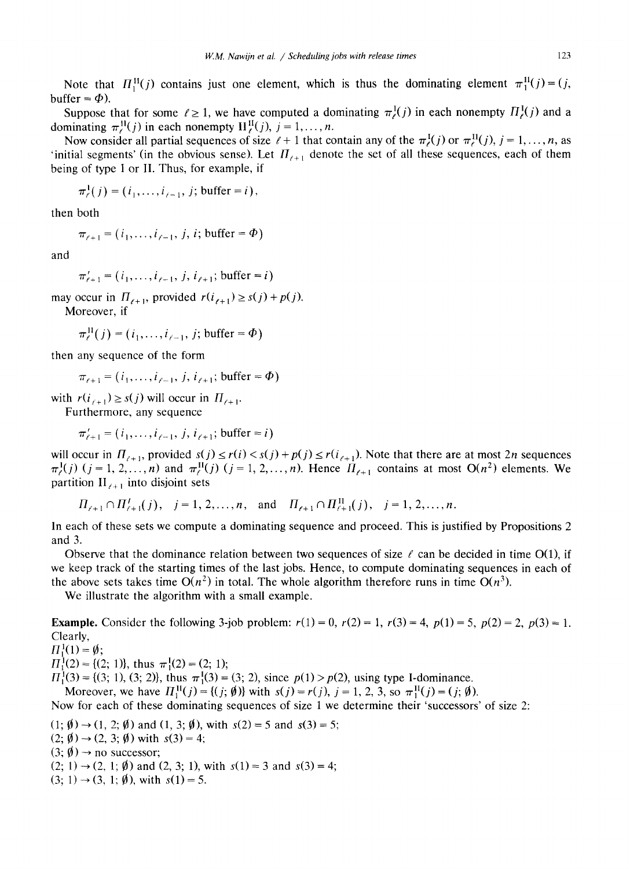Note that  $H_1^{\text{II}}(j)$  contains just one element, which is thus the dominating element  $\pi_1^{\text{II}}(j) = (j,$ buffer =  $\Phi$ ).

Suppose that for some  $\ell \ge 1$ , we have computed a dominating  $\pi^1(\ell j)$  in each nonempty  $H^1(\ell j)$  and a dominating  $\pi_i^{\text{II}}(i)$  in each nonempty  $\text{II}_{\epsilon}^{\text{II}}(i)$ ,  $i = 1, \ldots, n$ .

Now consider all partial sequences of size  $\ell + 1$  that contain any of the  $\pi_{\ell}^{I}(j)$  or  $\pi_{\ell}^{I}(j)$ ,  $j = 1, ..., n$ , as 'initial segments' (in the obvious sense). Let  $H_{\ell+1}$  denote the set of all these sequences, each of them being of type I or II. Thus, for example, if

$$
\pi^1_{\ell}(j) = (i_1, ..., i_{\ell-1}, j; \text{buffer} = i),
$$

then both

 $\pi_{i+1} = (i_1, \ldots, i_{i-1}, j, i; \text{buffer} = \Phi)$ 

and

 $\pi'_{i+1} = (i_1, \ldots, i_{i-1}, j, i_{i+1};$  buffer = i)

may occur in  $\Pi_{\ell+1}$ , provided  $r(i_{\ell+1}) \geq s(j) + p(j)$ .

Moreover, if

$$
\pi_\ell^{\text{II}}(j) = (i_1, \ldots, i_{\ell-1}, j; \text{buffer} = \Phi)
$$

then any sequence of the form

$$
\pi_{\ell+1} = (i_1, \ldots, i_{\ell-1}, j, i_{\ell+1};
$$
 buffer =  $\Phi$ )

with  $r(i_{\ell+1}) \geq s(j)$  will occur in  $\Pi_{\ell+1}$ .

Furthermore, any sequence

$$
\pi'_{\ell+1} = (i_1, \ldots, i_{\ell-1}, j, i_{\ell+1};
$$
 buffer = *i*)

will occur in  $\Pi_{i+1}$ , provided  $s(j) \le r(i) < s(j) + p(j) \le r(i_{i+1})$ . Note that there are at most 2n sequences  $\pi_r^1(j)$  (j = 1, 2,..., n) and  $\pi_r^{\text{II}}(j)$  (j = 1, 2,..., n). Hence  $\Pi_{r+1}$  contains at most  $O(n^2)$  elements. We partition  $II_{\ell+1}$  into disjoint sets

 $\Pi_{\ell+1} \cap \Pi_{\ell+1}^I(j)$ ,  $j = 1, 2, ..., n$ , and  $\Pi_{\ell+1} \cap \Pi_{\ell+1}^{\Pi}(j)$ ,  $j = 1, 2, ..., n$ .

In each of these sets we compute a dominating sequence and proceed. This is justified by Propositions 2 and 3.

Observe that the dominance relation between two sequences of size  $\ell$  can be decided in time O(1), if we keep track of the starting times of the last jobs. Hence, to compute dominating sequences in each of the above sets takes time  $O(n^2)$  in total. The whole algorithm therefore runs in time  $O(n^3)$ .

We illustrate the algorithm with a small example.

**Example.** Consider the following 3-job problem:  $r(1) = 0$ ,  $r(2) = 1$ ,  $r(3) = 4$ ,  $p(1) = 5$ ,  $p(2) = 2$ ,  $p(3) = 1$ . Clearly,

 $\Pi_1^1(1) = \emptyset$ ;

 $\Pi_1^1(2) = \{(2, 1)\}\$ , thus  $\pi_1^1(2) = (2, 1)\$ ;

 $H_1^1(3) = \{(3, 1), (3, 2)\}\)$ , thus  $\pi_1^1(3) = (3, 2)\$ , since  $p(1) > p(2)\$ , using type I-dominance.

Moreover, we have  $H_1^{\text{II}}(j) = \{(j; \emptyset)\}\$  with  $s(j) = r(j), j = 1, 2, 3$ , so  $\pi_1^{\text{II}}(j) = (j; \emptyset)$ .

Now for each of these dominating sequences of size 1 we determine their 'successors' of size 2:

- $(1; \emptyset) \rightarrow (1, 2; \emptyset)$  and  $(1, 3; \emptyset)$ , with  $s(2) = 5$  and  $s(3) = 5$ ;
- $(2; \emptyset) \rightarrow (2, 3; \emptyset)$  with  $s(3) = 4$ ;
- $(3; \emptyset) \rightarrow$  no successor;
- $(2; 1) \rightarrow (2, 1; \emptyset)$  and  $(2, 3; 1)$ , with  $s(1) = 3$  and  $s(3) = 4;$
- $(3; 1) \rightarrow (3, 1; \emptyset)$ , with  $s(1) = 5$ .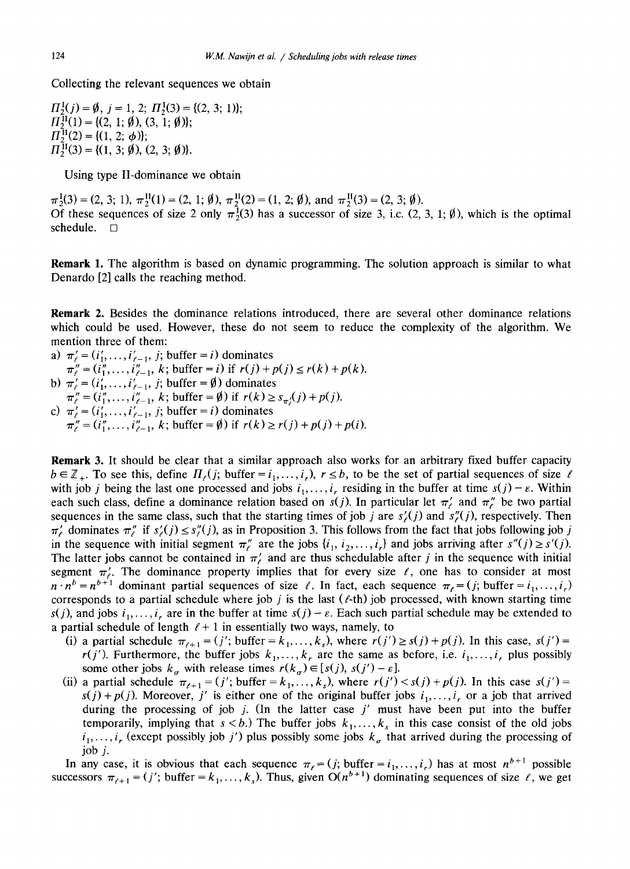Collecting the relevant sequences we obtain

 $\Pi_2^1(j) = \emptyset$ ,  $j = 1, 2; \Pi_2^1(3) = \{(2, 3; 1)\};$  $\Pi_2^{\text{II}}(1) = \{ (2, 1; \emptyset), (3, 1; \emptyset) \};$  $\Pi_2^{\text{II}}(2) = \{(1, 2; \phi)\};$  $\Pi_2^{\text{II}}(3) = \{(1, 3; \emptyset), (2, 3; \emptyset)\}.$ 

Using type II-dominance we obtain

 $\pi_2^1(3) = (2, 3; 1), \pi_2^1(1) = (2, 1; \emptyset), \pi_2^1(2) = (1, 2; \emptyset), \text{ and } \pi_2^1(3) = (2, 3; \emptyset).$ Of these sequences of size 2 only  $\pi_2^1(3)$  has a successor of size 3, i.c.  $(2, 3, 1; \emptyset)$ , which is the optimal schedule.  $\square$ 

**Remark** 1. The algorithm is based on dynamic programming. The solution approach is similar to what Denardo [2] calls the reaching method.

Remark 2. Besides the dominance relations introduced, there are several other dominance relations which could be used. However, these do not seem to reduce the complexity of the algorithm. We mention three of them:

- a)  $\pi'_{\ell} = (i'_1, \ldots, i'_{\ell-1}, j; \text{buffer} = i)$  dominates
- $\pi''_i = (i''_1, \ldots, i''_{i-1}, k;$  buffer = i) if  $r(j) + p(j) \le r(k) + p(k)$ .
- b)  $\pi_i = (i'_1, \ldots, i'_{i-1}, j;$  buffer =  $\emptyset$ ) dominates
- $\pi''_l = (\hat{i}_1'', \ldots, \hat{i}_{\ell-1}'', k; \text{buffer} = \emptyset) \text{ if } r(k) \geq s_{\pi'}(j) + p(j).$ c)  $\pi'_{\ell} = (i'_1, \ldots, i'_{\ell-1}, j;$  buffer = i) dominates  $\pi''_i = (i''_1, \ldots, i''_{\ell-1}, k; \text{buffer} = \emptyset) \text{ if } r(k) \ge r(j) + p(j) + p(i).$

**Remark** 3. It should be clear that a similar approach also works for an arbitrary fixed buffer capacity  $b \in \mathbb{Z}_+$ . To see this, define  $\Pi_{\ell}(j; \text{buffer} = i_1, \ldots, i_r)$ ,  $r \leq b$ , to be the set of partial sequences of size  $\ell$ with job j being the last one processed and jobs  $i_1, \ldots, i_r$  residing in the buffer at time  $s(j) - \varepsilon$ . Within each such class, define a dominance relation based on  $s(j)$ . In particular let  $\pi'_{\ell}$  and  $\pi''_{\ell}$  be two partial sequences in the same class, such that the starting times of job j are  $s'_{\ell}(j)$  and  $s''_{\ell}(j)$ , respectively. Then  $\pi'_{\ell}$  dominates  $\pi''_{\ell}$  if  $s'_{\ell}(j) \leq s''_{\ell}(j)$ , as in Proposition 3. This follows from the fact that jobs following job j in the sequence with initial segment  $\pi''_i$  are the jobs  $\{i_1, i_2, \ldots, i_r\}$  and jobs arriving after  $s''(j) \ge s'(j)$ . The latter jobs cannot be contained in  $\pi'$  and are thus schedulable after j in the sequence with initial segment  $\pi'$ . The dominance property implies that for every size  $\ell$ , one has to consider at most  $n \cdot n^b = n^{b+1}$  dominant partial sequences of size  $\ell$ . In fact, each sequence  $\pi_{\ell} = (j; \text{buffer} = i_1, \ldots, i_r)$ corresponds to a partial schedule where job j is the last  $(\ell$ -th) job processed, with known starting time  $s(j)$ , and jobs  $i_1, \ldots, i_r$  are in the buffer at time  $s(j) - \varepsilon$ . Each such partial schedule may be extended to a partial schedule of length  $\ell + 1$  in essentially two ways, namely, to

- (i) a partial schedule  $\pi_{i+1} = (j'$ ; buffer  $= k_1, \ldots, k_s$ , where  $r(j') \geq s(j) + p(j)$ . In this case,  $s(j') =$  $r(j')$ . Furthermore, the buffer jobs  $k_1, \ldots, k_r$  are the same as before, i.e.  $i_1, \ldots, i_r$  plus possibly some other jobs  $k_{\sigma}$  with release times  $r(k_{\sigma}) \in [s(j), s(j') - \varepsilon]$ .
- (ii) a partial schedule  $\pi_{\ell+1} = (j'; \text{buffer} = k_1, \ldots, k_s)$ , where  $r(j') < s(j) + p(j)$ . In this case  $s(j') =$  $s(j) + p(j)$ . Moreover, j' is either one of the original buffer jobs  $i_1, \ldots, i_r$  or a job that arrived during the processing of job j. (In the latter case  $j'$  must have been put into the buffer temporarily, implying that  $s < b$ .) The buffer jobs  $k_1, \ldots, k_s$  in this case consist of the old jobs  $i_1, \ldots, i_r$  (except possibly job j') plus possibly some jobs  $k_{\sigma}$  that arrived during the processing of job j.

In any case, it is obvious that each sequence  $\pi_{\ell} = (j; \text{buffer} = i_1, \dots, i_r)$  has at most  $n^{b+1}$  possible successors  $\pi_{\ell+1} = (j'; \text{buffer} = k_1, \ldots, k_s)$ . Thus, given  $O(n^{b+1})$  dominating sequences of size  $\ell$ , we get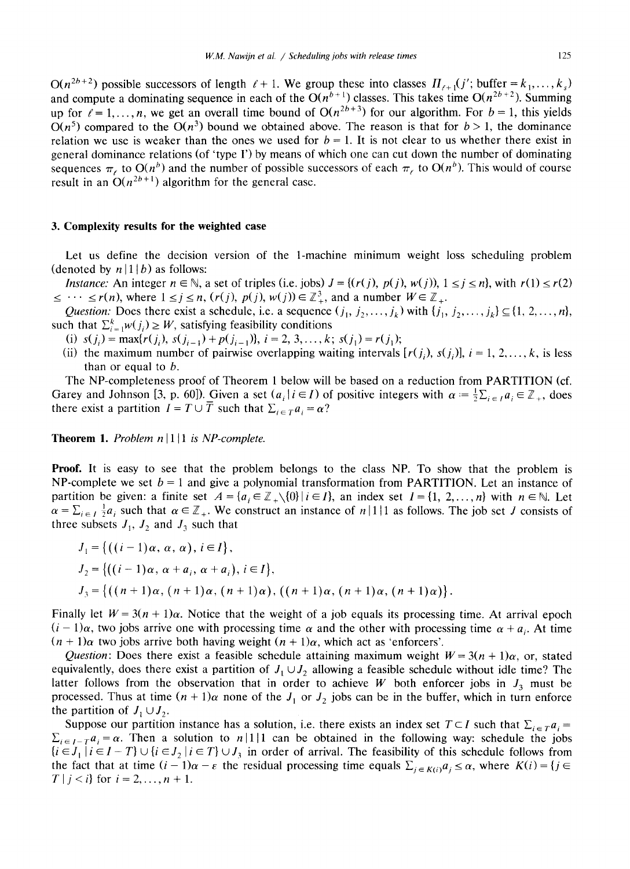$O(n^{2b+2})$  possible successors of length  $l + 1$ . We group these into classes  $\Pi_{l+1}(j)$ ; buffer =  $k_1, \ldots, k_s$ ) and compute a dominating sequence in each of the  $O(n^{b+1})$  classes. This takes time  $O(n^{2b+2})$ . Summing up for  $\ell = 1, \ldots, n$ , we get an overall time bound of  $O(n^{2b+3})$  for our algorithm. For  $b = 1$ , this yields  $O(n^5)$  compared to the  $O(n^3)$  bound we obtained above. The reason is that for  $b > 1$ , the dominance relation we use is weaker than the ones we used for  $b = 1$ . It is not clear to us whether there exist in general dominance relations (of 'type I') by means of which one can cut down the number of dominating sequences  $\pi_t$  to  $O(n^b)$  and the number of possible successors of each  $\pi_t$  to  $O(n^b)$ . This would of course result in an  $O(n^{2b+1})$  algorithm for the general case.

#### **3. Complexity results for the weighted case**

Let us define the decision version of the 1-machine minimum weight loss scheduling problem (denoted by  $n|1|b$ ) as follows:

*Instance:* An integer  $n \in \mathbb{N}$ , a set of triples (i.e. jobs)  $J = \{(r(j), p(j), w(j)), 1 \le j \le n\}$ , with  $r(1) \le r(2)$  $\leq \cdots \leq r(n)$ , where  $1 \leq j \leq n$ ,  $(r(j), p(j), w(j)) \in \mathbb{Z}_{+}^{3}$ , and a number  $W \in \mathbb{Z}_{+}$ .

*Question:* Does there exist a schedule, i.e. a sequence  $(j_1, j_2, \ldots, j_k)$  with  $\{j_1, j_2, \ldots, j_k\} \subseteq \{1, 2, \ldots, n\}$ , such that  $\sum_{i=1}^{k} w(j_i) \geq W$ , satisfying feasibility conditions

- (i)  $s(j_i) = \max{r(j_i), s(j_{i-1}) + p(j_{i-1})}, i = 2, 3, ..., k; s(j_1) = r(j_1);$
- (ii) the maximum number of pairwise overlapping waiting intervals  $[r(j_i), s(j_i)]$ ,  $i = 1, 2, ..., k$ , is less than or equal to b.

The NP-completeness proof of Theorem 1 below will be based on a reduction from PARTITION (cf. Garey and Johnson [3, p. 60]). Given a set  $(a_i | i \in I)$  of positive integers with  $\alpha = \frac{1}{2} \sum_{i \in I} a_i \in \mathbb{Z}_+$ , does there exist a partition  $I = T \cup T$  such that  $\sum_{i \in T} a_i = \alpha$ ?

**Theorem 1.** *Problem n* | 1 | 1 *is NP-complete.* 

**Proof.** It is easy to see that the problem belongs to the class NP. To show that the problem is NP-complete we set  $b = 1$  and give a polynomial transformation from PARTITION. Let an instance of partition be given: a finite set  $A = \{a_i \in \mathbb{Z}_+\setminus\{0\} | i \in I\}$ , an index set  $I = \{1, 2, ..., n\}$  with  $n \in \mathbb{N}$ . Let  $\alpha = \sum_{i \in I} \frac{1}{2} a_i$  such that  $\alpha \in \mathbb{Z}_+$ . We construct an instance of  $n \mid 1 \mid 1$  as follows. The job set J consists of three subsets  $J_1$ ,  $J_2$  and  $J_3$  such that

$$
J_1 = \{ ((i-1)\alpha, \alpha, \alpha), i \in I \},
$$
  
\n
$$
J_2 = \{ ((i-1)\alpha, \alpha + a_i, \alpha + a_i), i \in I \},
$$
  
\n
$$
J_3 = \{ ((n+1)\alpha, (n+1)\alpha, (n+1)\alpha), ((n+1)\alpha, (n+1)\alpha, (n+1)\alpha) \}.
$$

Finally let  $W = 3(n + 1)\alpha$ . Notice that the weight of a job equals its processing time. At arrival epoch  $(i - 1)\alpha$ , two jobs arrive one with processing time  $\alpha$  and the other with processing time  $\alpha + a_i$ . At time  $(n + 1)\alpha$  two jobs arrive both having weight  $(n + 1)\alpha$ , which act as 'enforcers'.

*Question:* Does there exist a feasible schedule attaining maximum weight  $W = 3(n + 1)\alpha$ , or, stated equivalently, does there exist a partition of  $J_1 \cup J_2$  allowing a feasible schedule without idle time? The latter follows from the observation that in order to achieve W both enforcer jobs in  $J_3$  must be processed. Thus at time  $(n + 1)\alpha$  none of the  $J_1$  or  $J_2$  jobs can be in the buffer, which in turn enforce the partition of  $J_1 \cup J_2$ .

Suppose our partition instance has a solution, i.e. there exists an index set  $T \subset I$  such that  $\sum_{i \in T} a_i$  =  $\sum_{i \in I - T} a_i = \alpha$ . Then a solution to n|1|1 can be obtained in the following way: schedule the jobs  ${i \in J_1 | i \in I - T} \cup {i \in J_2 | i \in T} \cup J_3$  in order of arrival. The feasibility of this schedule follows from the fact that at time  $(i - 1)\alpha - \varepsilon$  the residual processing time equals  $\sum_{j \in K(i)} a_j \leq \alpha$ , where  $K(i) = \{j \in$ *T* | *j* < *i*} for  $i = 2, ..., n + 1$ .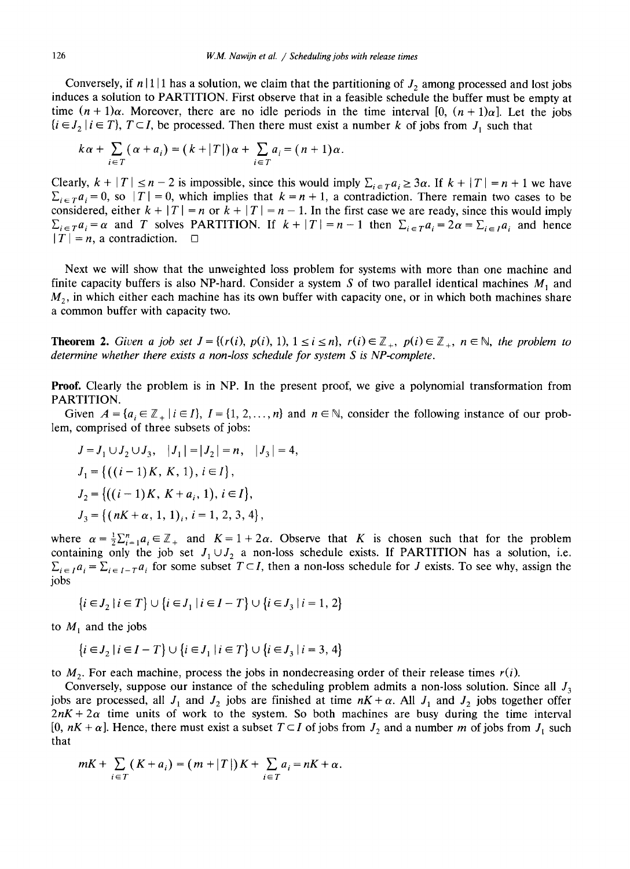Conversely, if  $n \mid 1 \mid 1$  has a solution, we claim that the partitioning of  $J_2$  among processed and lost jobs induces a solution to PARTITION. First observe that in a feasible schedule the buffer must be empty at time  $(n + 1)\alpha$ . Moreover, there are no idle periods in the time interval [0,  $(n + 1)\alpha$ ]. Let the jobs  $\{i \in J_2 \mid i \in T\}$ ,  $T \subset I$ , be processed. Then there must exist a number k of jobs from  $J_1$  such that

$$
k\alpha + \sum_{i \in T} (\alpha + a_i) = (k + |T|) \alpha + \sum_{i \in T} a_i = (n + 1) \alpha.
$$

Clearly,  $k + |T| \le n - 2$  is impossible, since this would imply  $\sum_{i \in T} a_i \ge 3\alpha$ . If  $k + |T| = n + 1$  we have  $\sum_{i \in \mathcal{T}} a_i = 0$ , so  $|\mathcal{T}| = 0$ , which implies that  $k = n + 1$ , a contradiction. There remain two cases to be considered, either  $k + |T| = n$  or  $k + |T| = n - 1$ . In the first case we are ready, since this would imply  $\sum_{i \in \mathcal{T}} a_i = \alpha$  and *T* solves PARTITION. If  $k + |T| = n - 1$  then  $\sum_{i \in \mathcal{T}} a_i = 2\alpha = \sum_{i \in \mathcal{T}} a_i$  and hence  $|T| = n$ , a contradiction.  $\Box$ 

Next we will show that the unweighted loss problem for systems with more than one machine and finite capacity buffers is also NP-hard. Consider a system S of two parallel identical machines  $M_1$  and  $M<sub>2</sub>$ , in which either each machine has its own buffer with capacity one, or in which both machines share a common buffer with capacity two.

**Theorem 2.** *Given a job set*  $J = \{(r(i), p(i), 1), 1 \le i \le n\}, r(i) \in \mathbb{Z}_+, p(i) \in \mathbb{Z}_+, n \in \mathbb{N},$  the problem to *determine whether there exists a non-loss schedule for system S is NP-complete.* 

**Proof.** Clearly the problem is in NP. In the present proof, we give a polynomial transformation from PARTITION.

Given  $A = \{a_i \in \mathbb{Z}_+ | i \in I\}$ ,  $I = \{1, 2, ..., n\}$  and  $n \in \mathbb{N}$ , consider the following instance of our problem, comprised of three subsets of jobs:

$$
J = J_1 \cup J_2 \cup J_3, \quad |J_1| = |J_2| = n, \quad |J_3| = 4,
$$
  
\n
$$
J_1 = \{ ((i - 1)K, K, 1), i \in I \},
$$
  
\n
$$
J_2 = \{ ((i - 1)K, K + a_i, 1), i \in I \},
$$
  
\n
$$
J_3 = \{ (nK + \alpha, 1, 1), i = 1, 2, 3, 4 \},
$$

where  $\alpha = \frac{1}{2} \sum_{i=1}^{n} a_i \in \mathbb{Z}_+$  and  $K = 1 + 2\alpha$ . Observe that K is chosen such that for the problem containing only the job set  $J_1 \cup J_2$  a non-loss schedule exists. If PARTITION has a solution, i.e.  $\Sigma_{i\in I}a_i = \Sigma_{i\in I-T}a_i$  for some subset  $T\subset I$ , then a non-loss schedule for J exists. To see why, assign the jobs

$$
\{i \in J_2 \mid i \in T\} \cup \{i \in J_1 \mid i \in I - T\} \cup \{i \in J_3 \mid i = 1, 2\}
$$

to  $M_1$  and the jobs

$$
\{i \in J_2 \mid i \in I - T\} \cup \{i \in J_1 \mid i \in T\} \cup \{i \in J_3 \mid i = 3, 4\}
$$

to  $M_2$ . For each machine, process the jobs in nondecreasing order of their release times  $r(i)$ .

Conversely, suppose our instance of the scheduling problem admits a non-loss solution. Since all  $J_3$ jobs are processed, all  $J_1$  and  $J_2$  jobs are finished at time  $nK + \alpha$ . All  $J_1$  and  $J_2$  jobs together offer  $2nK + 2\alpha$  time units of work to the system. So both machines are busy during the time interval [0,  $nK + \alpha$ ]. Hence, there must exist a subset  $T \subset I$  of jobs from  $J_2$  and a number m of jobs from  $J_1$  such that

$$
mK + \sum_{i \in T} (K + a_i) = (m + |T|)K + \sum_{i \in T} a_i = nK + \alpha.
$$